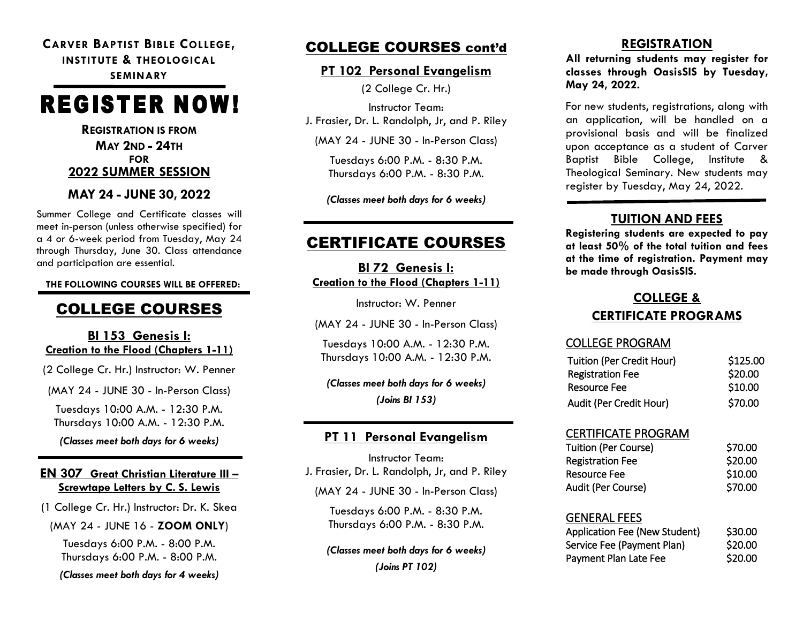#### **CARVER BAPTIST BIBLE COLLEGE, INSTITUTE & THEOLOGICAL SEMINARY**

# **REGISTER NOW!**

**REGISTRATION IS FROM MAY 2ND - 24TH FOR 2022 SUMMER SESSION**

#### **MAY 24 - JUNE 30, 2022**

Summer College and Certificate classes will meet in-person (unless otherwise specified) for a 4 or 6-week period from Tuesday, May 24 through Thursday, June 30. Class attendance and participation are essential.

 **THE FOLLOWING COURSES WILL BE OFFERED:**

## COLLEGE COURSES

#### **BI 153 Genesis I: Creation to the Flood (Chapters 1-11)**

(2 College Cr. Hr.) Instructor: W. Penner

(MAY 24 - JUNE 30 - In-Person Class)

Tuesdays 10:00 A.M. - 12:30 P.M. Thursdays 10:00 A.M. - 12:30 P.M. *(Classes meet both days for 6 weeks)*

#### **EN 307 Great Christian Literature III – Screwtape Letters by C. S. Lewis**

(1 College Cr. Hr.) Instructor: Dr. K. Skea

(MAY 24 - JUNE 16 - **ZOOM ONLY**)

Tuesdays 6:00 P.M. - 8:00 P.M. Thursdays 6:00 P.M. - 8:00 P.M.

*(Classes meet both days for 4 weeks)*

### COLLEGE COURSES cont'd

#### **PT 102 Personal Evangelism**

(2 College Cr. Hr.)

Instructor Team: J. Frasier, Dr. L. Randolph, Jr, and P. Riley

(MAY 24 - JUNE 30 - In-Person Class)

Tuesdays 6:00 P.M. - 8:30 P.M. Thursdays 6:00 P.M. - 8:30 P.M.

*(Classes meet both days for 6 weeks)*

## CERTIFICATE COURSES

**BI 72 Genesis I: Creation to the Flood (Chapters 1-11)**

Instructor: W. Penner

(MAY 24 - JUNE 30 - In-Person Class)

Tuesdays 10:00 A.M. - 12:30 P.M. Thursdays 10:00 A.M. - 12:30 P.M.

#### *(Classes meet both days for 6 weeks) (Joins BI 153)*

#### **PT 11 Personal Evangelism**

Instructor Team: J. Frasier, Dr. L. Randolph, Jr, and P. Riley (MAY 24 - JUNE 30 - In-Person Class)

> Tuesdays 6:00 P.M. - 8:30 P.M. Thursdays 6:00 P.M. - 8:30 P.M.

*(Classes meet both days for 6 weeks) (Joins PT 102)*

#### **REGISTRATION**

**All returning students may register for classes through OasisSIS by Tuesday, May 24, 2022.**

For new students, registrations, along with an application, will be handled on a provisional basis and will be finalized upon acceptance as a student of Carver Baptist Bible College, Institute & Theological Seminary. New students may register by Tuesday, May 24, 2022.

#### **TUITION AND FEES**

**Registering students are expected to pay at least 50% of the total tuition and fees at the time of registration. Payment may be made through OasisSIS.**

## **COLLEGE &**

#### **CERTIFICATE PROGRAMS**

#### COLLEGE PROGRAM

| <b>Tuition (Per Credit Hour)</b> | \$125.00 |
|----------------------------------|----------|
| <b>Registration Fee</b>          | \$20.00  |
| Resource Fee                     | \$10.00  |
| Audit (Per Credit Hour)          | \$70.00  |

#### CERTIFICATE PROGRAM

| Tuition (Per Course)    | S70.00  |
|-------------------------|---------|
| <b>Registration Fee</b> | \$20.00 |
| Resource Fee            | \$10.00 |
| Audit (Per Course)      | \$70.00 |

#### GENERAL FEES

| Application Fee (New Student) | \$30.00 |
|-------------------------------|---------|
| Service Fee (Payment Plan)    | \$20.00 |
| Payment Plan Late Fee         | \$20.00 |